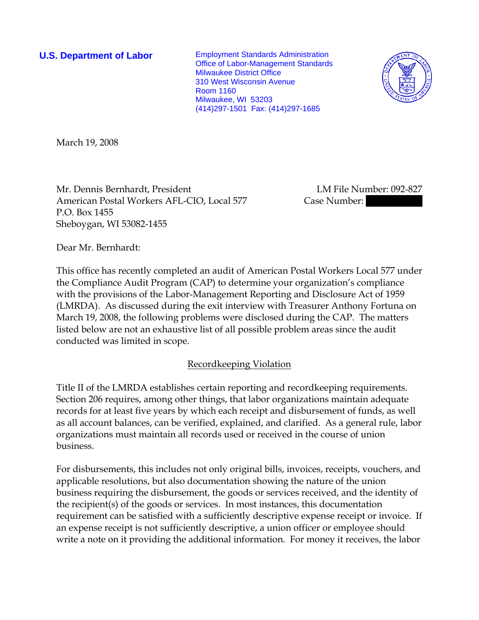**U.S. Department of Labor** Employment Standards Administration Office of Labor-Management Standards Milwaukee District Office 310 West Wisconsin Avenue Room 1160 Milwaukee, WI 53203 (414)297-1501 Fax: (414)297-1685



March 19, 2008

Mr. Dennis Bernhardt, President LM File Number: 092-827 American Postal Workers AFL-CIO, Local 577 Case Number: P.O. Box 1455 Sheboygan, WI 53082-1455

Dear Mr. Bernhardt:

This office has recently completed an audit of American Postal Workers Local 577 under the Compliance Audit Program (CAP) to determine your organization's compliance with the provisions of the Labor-Management Reporting and Disclosure Act of 1959 (LMRDA). As discussed during the exit interview with Treasurer Anthony Fortuna on March 19, 2008, the following problems were disclosed during the CAP. The matters listed below are not an exhaustive list of all possible problem areas since the audit conducted was limited in scope.

## Recordkeeping Violation

Title II of the LMRDA establishes certain reporting and recordkeeping requirements. Section 206 requires, among other things, that labor organizations maintain adequate records for at least five years by which each receipt and disbursement of funds, as well as all account balances, can be verified, explained, and clarified. As a general rule, labor organizations must maintain all records used or received in the course of union business.

For disbursements, this includes not only original bills, invoices, receipts, vouchers, and applicable resolutions, but also documentation showing the nature of the union business requiring the disbursement, the goods or services received, and the identity of the recipient(s) of the goods or services. In most instances, this documentation requirement can be satisfied with a sufficiently descriptive expense receipt or invoice. If an expense receipt is not sufficiently descriptive, a union officer or employee should write a note on it providing the additional information. For money it receives, the labor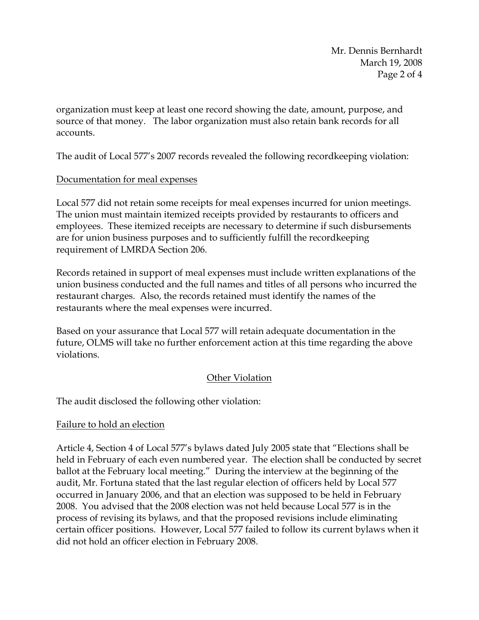Mr. Dennis Bernhardt March 19, 2008 Page 2 of 4

organization must keep at least one record showing the date, amount, purpose, and source of that money. The labor organization must also retain bank records for all accounts.

The audit of Local 577's 2007 records revealed the following recordkeeping violation:

## Documentation for meal expenses

Local 577 did not retain some receipts for meal expenses incurred for union meetings. The union must maintain itemized receipts provided by restaurants to officers and employees. These itemized receipts are necessary to determine if such disbursements are for union business purposes and to sufficiently fulfill the recordkeeping requirement of LMRDA Section 206.

Records retained in support of meal expenses must include written explanations of the union business conducted and the full names and titles of all persons who incurred the restaurant charges. Also, the records retained must identify the names of the restaurants where the meal expenses were incurred.

Based on your assurance that Local 577 will retain adequate documentation in the future, OLMS will take no further enforcement action at this time regarding the above violations.

## Other Violation

The audit disclosed the following other violation:

## Failure to hold an election

Article 4, Section 4 of Local 577's bylaws dated July 2005 state that "Elections shall be held in February of each even numbered year. The election shall be conducted by secret ballot at the February local meeting." During the interview at the beginning of the audit, Mr. Fortuna stated that the last regular election of officers held by Local 577 occurred in January 2006, and that an election was supposed to be held in February 2008. You advised that the 2008 election was not held because Local 577 is in the process of revising its bylaws, and that the proposed revisions include eliminating certain officer positions. However, Local 577 failed to follow its current bylaws when it did not hold an officer election in February 2008.